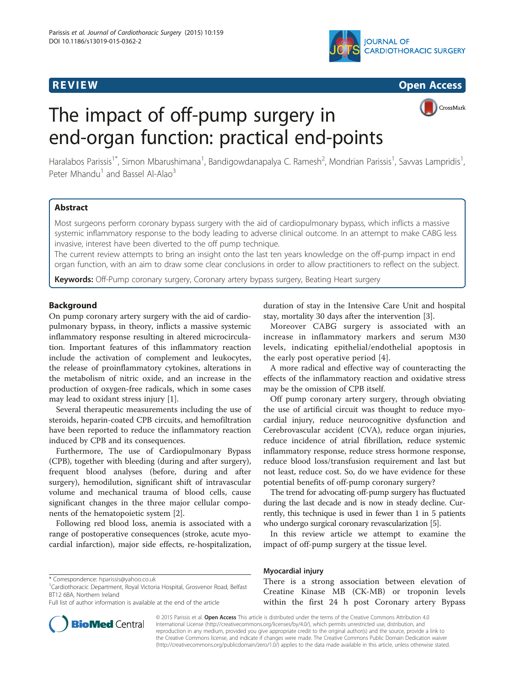



# The impact of off-pump surgery in end-organ function: practical end-points



Haralabos Parissis<sup>1\*</sup>, Simon Mbarushimana<sup>1</sup>, Bandigowdanapalya C. Ramesh<sup>2</sup>, Mondrian Parissis<sup>1</sup>, Savvas Lampridis<sup>1</sup> , Peter Mhandu<sup>1</sup> and Bassel Al-Alao<sup>3</sup>

# Abstract

Most surgeons perform coronary bypass surgery with the aid of cardiopulmonary bypass, which inflicts a massive systemic inflammatory response to the body leading to adverse clinical outcome. In an attempt to make CABG less invasive, interest have been diverted to the off pump technique.

The current review attempts to bring an insight onto the last ten years knowledge on the off-pump impact in end organ function, with an aim to draw some clear conclusions in order to allow practitioners to reflect on the subject.

Keywords: Off-Pump coronary surgery, Coronary artery bypass surgery, Beating Heart surgery

# Background

On pump coronary artery surgery with the aid of cardiopulmonary bypass, in theory, inflicts a massive systemic inflammatory response resulting in altered microcirculation. Important features of this inflammatory reaction include the activation of complement and leukocytes, the release of proinflammatory cytokines, alterations in the metabolism of nitric oxide, and an increase in the production of oxygen-free radicals, which in some cases may lead to oxidant stress injury [[1](#page-8-0)].

Several therapeutic measurements including the use of steroids, heparin-coated CPB circuits, and hemofiltration have been reported to reduce the inflammatory reaction induced by CPB and its consequences.

Furthermore, The use of Cardiopulmonary Bypass (CPB), together with bleeding (during and after surgery), frequent blood analyses (before, during and after surgery), hemodilution, significant shift of intravascular volume and mechanical trauma of blood cells, cause significant changes in the three major cellular components of the hematopoietic system [\[2](#page-8-0)].

Following red blood loss, anemia is associated with a range of postoperative consequences (stroke, acute myocardial infarction), major side effects, re-hospitalization,

**BioMed** Central

Full list of author information is available at the end of the article



Moreover CABG surgery is associated with an increase in inflammatory markers and serum M30 levels, indicating epithelial/endothelial apoptosis in the early post operative period [[4](#page-8-0)].

A more radical and effective way of counteracting the effects of the inflammatory reaction and oxidative stress may be the omission of CPB itself.

Off pump coronary artery surgery, through obviating the use of artificial circuit was thought to reduce myocardial injury, reduce neurocognitive dysfunction and Cerebrovascular accident (CVA), reduce organ injuries, reduce incidence of atrial fibrillation, reduce systemic inflammatory response, reduce stress hormone response, reduce blood loss/transfusion requirement and last but not least, reduce cost. So, do we have evidence for these potential benefits of off-pump coronary surgery?

The trend for advocating off-pump surgery has fluctuated during the last decade and is now in steady decline. Currently, this technique is used in fewer than 1 in 5 patients who undergo surgical coronary revascularization [\[5](#page-8-0)].

In this review article we attempt to examine the impact of off-pump surgery at the tissue level.

# Myocardial injury

There is a strong association between elevation of Creatine Kinase MB (CK-MB) or troponin levels within the first 24 h post Coronary artery Bypass

© 2015 Parissis et al. Open Access This article is distributed under the terms of the Creative Commons Attribution 4.0 International License [\(http://creativecommons.org/licenses/by/4.0/](http://creativecommons.org/licenses/by/4.0/)), which permits unrestricted use, distribution, and reproduction in any medium, provided you give appropriate credit to the original author(s) and the source, provide a link to the Creative Commons license, and indicate if changes were made. The Creative Commons Public Domain Dedication waiver [\(http://creativecommons.org/publicdomain/zero/1.0/](http://creativecommons.org/publicdomain/zero/1.0/)) applies to the data made available in this article, unless otherwise stated.

<sup>\*</sup> Correspondence: [hparissis@yahoo.co.uk](mailto:hparissis@yahoo.co.uk) <sup>1</sup>

Cardiothoracic Department, Royal Victoria Hospital, Grosvenor Road, Belfast BT12 6BA, Northern Ireland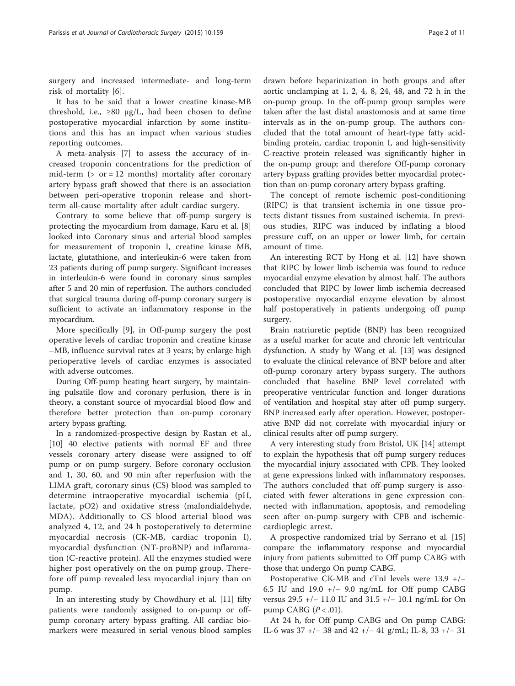surgery and increased intermediate- and long-term risk of mortality [\[6](#page-8-0)].

It has to be said that a lower creatine kinase-MB threshold, i.e.,  $\geq 80$  µg/L, had been chosen to define postoperative myocardial infarction by some institutions and this has an impact when various studies reporting outcomes.

A meta-analysis [\[7](#page-8-0)] to assess the accuracy of increased troponin concentrations for the prediction of mid-term  $(>$  or = 12 months) mortality after coronary artery bypass graft showed that there is an association between peri-operative troponin release and shortterm all-cause mortality after adult cardiac surgery.

Contrary to some believe that off-pump surgery is protecting the myocardium from damage, Karu et al. [\[8](#page-8-0)] looked into Coronary sinus and arterial blood samples for measurement of troponin I, creatine kinase MB, lactate, glutathione, and interleukin-6 were taken from 23 patients during off pump surgery. Significant increases in interleukin-6 were found in coronary sinus samples after 5 and 20 min of reperfusion. The authors concluded that surgical trauma during off-pump coronary surgery is sufficient to activate an inflammatory response in the myocardium.

More specifically [\[9](#page-8-0)], in Off-pump surgery the post operative levels of cardiac troponin and creatine kinase –MB, influence survival rates at 3 years; by enlarge high perioperative levels of cardiac enzymes is associated with adverse outcomes.

During Off-pump beating heart surgery, by maintaining pulsatile flow and coronary perfusion, there is in theory, a constant source of myocardial blood flow and therefore better protection than on-pump coronary artery bypass grafting.

In a randomized-prospective design by Rastan et al., [[10\]](#page-8-0) 40 elective patients with normal EF and three vessels coronary artery disease were assigned to off pump or on pump surgery. Before coronary occlusion and 1, 30, 60, and 90 min after reperfusion with the LIMA graft, coronary sinus (CS) blood was sampled to determine intraoperative myocardial ischemia (pH, lactate, pO2) and oxidative stress (malondialdehyde, MDA). Additionally to CS blood arterial blood was analyzed 4, 12, and 24 h postoperatively to determine myocardial necrosis (CK-MB, cardiac troponin I), myocardial dysfunction (NT-proBNP) and inflammation (C-reactive protein). All the enzymes studied were higher post operatively on the on pump group. Therefore off pump revealed less myocardial injury than on pump.

In an interesting study by Chowdhury et al. [[11\]](#page-8-0) fifty patients were randomly assigned to on-pump or offpump coronary artery bypass grafting. All cardiac biomarkers were measured in serial venous blood samples

drawn before heparinization in both groups and after aortic unclamping at 1, 2, 4, 8, 24, 48, and 72 h in the on-pump group. In the off-pump group samples were taken after the last distal anastomosis and at same time intervals as in the on-pump group. The authors concluded that the total amount of heart-type fatty acidbinding protein, cardiac troponin I, and high-sensitivity C-reactive protein released was significantly higher in the on-pump group; and therefore Off-pump coronary artery bypass grafting provides better myocardial protection than on-pump coronary artery bypass grafting.

The concept of remote ischemic post-conditioning (RIPC) is that transient ischemia in one tissue protects distant tissues from sustained ischemia. In previous studies, RIPC was induced by inflating a blood pressure cuff, on an upper or lower limb, for certain amount of time.

An interesting RCT by Hong et al. [[12](#page-8-0)] have shown that RIPC by lower limb ischemia was found to reduce myocardial enzyme elevation by almost half. The authors concluded that RIPC by lower limb ischemia decreased postoperative myocardial enzyme elevation by almost half postoperatively in patients undergoing off pump surgery.

Brain natriuretic peptide (BNP) has been recognized as a useful marker for acute and chronic left ventricular dysfunction. A study by Wang et al. [\[13](#page-8-0)] was designed to evaluate the clinical relevance of BNP before and after off-pump coronary artery bypass surgery. The authors concluded that baseline BNP level correlated with preoperative ventricular function and longer durations of ventilation and hospital stay after off pump surgery. BNP increased early after operation. However, postoperative BNP did not correlate with myocardial injury or clinical results after off pump surgery.

A very interesting study from Bristol, UK [[14](#page-8-0)] attempt to explain the hypothesis that off pump surgery reduces the myocardial injury associated with CPB. They looked at gene expressions linked with inflammatory responses. The authors concluded that off-pump surgery is associated with fewer alterations in gene expression connected with inflammation, apoptosis, and remodeling seen after on-pump surgery with CPB and ischemiccardioplegic arrest.

A prospective randomized trial by Serrano et al. [[15](#page-9-0)] compare the inflammatory response and myocardial injury from patients submitted to Off pump CABG with those that undergo On pump CABG.

Postoperative CK-MB and cTnI levels were 13.9 +/− 6.5 IU and 19.0 +/− 9.0 ng/mL for Off pump CABG versus 29.5 +/− 11.0 IU and 31.5 +/− 10.1 ng/mL for On pump CABG  $(P < .01)$ .

At 24 h, for Off pump CABG and On pump CABG: IL-6 was 37 +/− 38 and 42 +/− 41 g/mL; IL-8, 33 +/− 31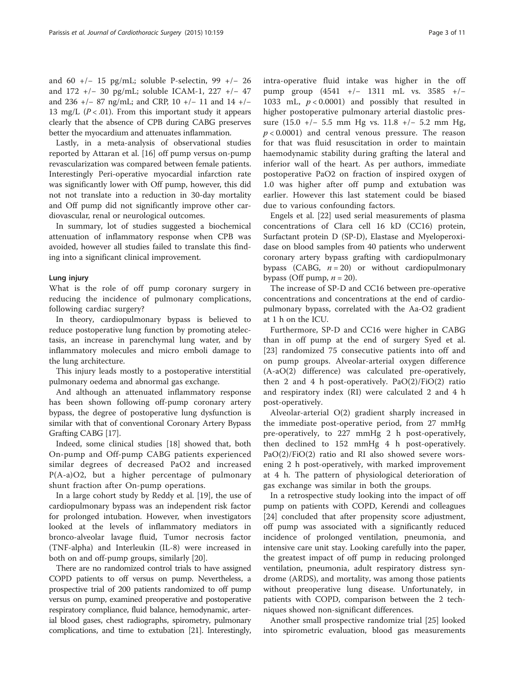and 60 +/- 15 pg/mL; soluble P-selectin, 99 +/- 26 and 172 +/− 30 pg/mL; soluble ICAM-1, 227 +/− 47 and 236 +/− 87 ng/mL; and CRP, 10 +/− 11 and 14 +/− 13 mg/L  $(P < .01)$ . From this important study it appears clearly that the absence of CPB during CABG preserves better the myocardium and attenuates inflammation.

Lastly, in a meta-analysis of observational studies reported by Attaran et al. [\[16\]](#page-9-0) off pump versus on-pump revascularization was compared between female patients. Interestingly Peri-operative myocardial infarction rate was significantly lower with Off pump, however, this did not not translate into a reduction in 30-day mortality and Off pump did not significantly improve other cardiovascular, renal or neurological outcomes.

In summary, lot of studies suggested a biochemical attenuation of inflammatory response when CPB was avoided, however all studies failed to translate this finding into a significant clinical improvement.

#### Lung injury

What is the role of off pump coronary surgery in reducing the incidence of pulmonary complications, following cardiac surgery?

In theory, cardiopulmonary bypass is believed to reduce postoperative lung function by promoting atelectasis, an increase in parenchymal lung water, and by inflammatory molecules and micro emboli damage to the lung architecture.

This injury leads mostly to a postoperative interstitial pulmonary oedema and abnormal gas exchange.

And although an attenuated inflammatory response has been shown following off-pump coronary artery bypass, the degree of postoperative lung dysfunction is similar with that of conventional Coronary Artery Bypass Grafting CABG [[17\]](#page-9-0).

Indeed, some clinical studies [[18](#page-9-0)] showed that, both On-pump and Off-pump CABG patients experienced similar degrees of decreased PaO2 and increased P(A-a)O2, but a higher percentage of pulmonary shunt fraction after On-pump operations.

In a large cohort study by Reddy et al. [\[19\]](#page-9-0), the use of cardiopulmonary bypass was an independent risk factor for prolonged intubation. However, when investigators looked at the levels of inflammatory mediators in bronco-alveolar lavage fluid, Tumor necrosis factor (TNF-alpha) and Interleukin (IL-8) were increased in both on and off-pump groups, similarly [[20\]](#page-9-0).

There are no randomized control trials to have assigned COPD patients to off versus on pump. Nevertheless, a prospective trial of 200 patients randomized to off pump versus on pump, examined preoperative and postoperative respiratory compliance, fluid balance, hemodynamic, arterial blood gases, chest radiographs, spirometry, pulmonary complications, and time to extubation [\[21](#page-9-0)]. Interestingly, intra-operative fluid intake was higher in the off pump group (4541 +/− 1311 mL vs. 3585 +/− 1033 mL,  $p < 0.0001$ ) and possibly that resulted in higher postoperative pulmonary arterial diastolic pressure (15.0 +/− 5.5 mm Hg vs. 11.8 +/− 5.2 mm Hg,  $p < 0.0001$ ) and central venous pressure. The reason for that was fluid resuscitation in order to maintain haemodynamic stability during grafting the lateral and inferior wall of the heart. As per authors, immediate postoperative PaO2 on fraction of inspired oxygen of 1.0 was higher after off pump and extubation was earlier. However this last statement could be biased due to various confounding factors.

Engels et al. [\[22](#page-9-0)] used serial measurements of plasma concentrations of Clara cell 16 kD (CC16) protein, Surfactant protein D (SP-D), Elastase and Myeloperoxidase on blood samples from 40 patients who underwent coronary artery bypass grafting with cardiopulmonary bypass (CABG,  $n = 20$ ) or without cardiopulmonary bypass (Off pump,  $n = 20$ ).

The increase of SP-D and CC16 between pre-operative concentrations and concentrations at the end of cardiopulmonary bypass, correlated with the Aa-O2 gradient at 1 h on the ICU.

Furthermore, SP-D and CC16 were higher in CABG than in off pump at the end of surgery Syed et al. [[23\]](#page-9-0) randomized 75 consecutive patients into off and on pump groups. Alveolar-arterial oxygen difference (A-aO(2) difference) was calculated pre-operatively, then 2 and 4 h post-operatively.  $PaO(2)/FiO(2)$  ratio and respiratory index (RI) were calculated 2 and 4 h post-operatively.

Alveolar-arterial O(2) gradient sharply increased in the immediate post-operative period, from 27 mmHg pre-operatively, to 227 mmHg 2 h post-operatively, then declined to 152 mmHg 4 h post-operatively. PaO(2)/FiO(2) ratio and RI also showed severe worsening 2 h post-operatively, with marked improvement at 4 h. The pattern of physiological deterioration of gas exchange was similar in both the groups.

In a retrospective study looking into the impact of off pump on patients with COPD, Kerendi and colleagues [[24\]](#page-9-0) concluded that after propensity score adjustment, off pump was associated with a significantly reduced incidence of prolonged ventilation, pneumonia, and intensive care unit stay. Looking carefully into the paper, the greatest impact of off pump in reducing prolonged ventilation, pneumonia, adult respiratory distress syndrome (ARDS), and mortality, was among those patients without preoperative lung disease. Unfortunately, in patients with COPD, comparison between the 2 techniques showed non-significant differences.

Another small prospective randomize trial [[25\]](#page-9-0) looked into spirometric evaluation, blood gas measurements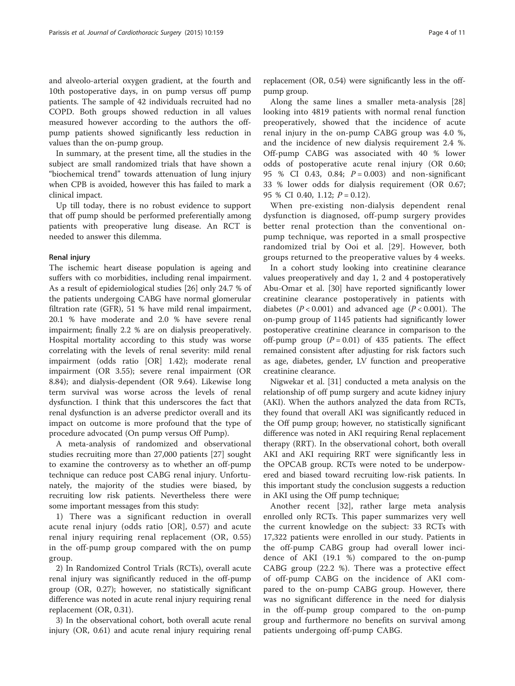and alveolo-arterial oxygen gradient, at the fourth and 10th postoperative days, in on pump versus off pump patients. The sample of 42 individuals recruited had no COPD. Both groups showed reduction in all values measured however according to the authors the offpump patients showed significantly less reduction in values than the on-pump group.

In summary, at the present time, all the studies in the subject are small randomized trials that have shown a "biochemical trend" towards attenuation of lung injury when CPB is avoided, however this has failed to mark a clinical impact.

Up till today, there is no robust evidence to support that off pump should be performed preferentially among patients with preoperative lung disease. An RCT is needed to answer this dilemma.

#### Renal injury

The ischemic heart disease population is ageing and suffers with co morbidities, including renal impairment. As a result of epidemiological studies [\[26](#page-9-0)] only 24.7 % of the patients undergoing CABG have normal glomerular filtration rate (GFR), 51 % have mild renal impairment, 20.1 % have moderate and 2.0 % have severe renal impairment; finally 2.2 % are on dialysis preoperatively. Hospital mortality according to this study was worse correlating with the levels of renal severity: mild renal impairment (odds ratio [OR] 1.42); moderate renal impairment (OR 3.55); severe renal impairment (OR 8.84); and dialysis-dependent (OR 9.64). Likewise long term survival was worse across the levels of renal dysfunction. I think that this underscores the fact that renal dysfunction is an adverse predictor overall and its impact on outcome is more profound that the type of procedure advocated (On pump versus Off Pump).

A meta-analysis of randomized and observational studies recruiting more than 27,000 patients [[27\]](#page-9-0) sought to examine the controversy as to whether an off-pump technique can reduce post CABG renal injury. Unfortunately, the majority of the studies were biased, by recruiting low risk patients. Nevertheless there were some important messages from this study:

1) There was a significant reduction in overall acute renal injury (odds ratio [OR], 0.57) and acute renal injury requiring renal replacement (OR, 0.55) in the off-pump group compared with the on pump group.

2) In Randomized Control Trials (RCTs), overall acute renal injury was significantly reduced in the off-pump group (OR, 0.27); however, no statistically significant difference was noted in acute renal injury requiring renal replacement (OR, 0.31).

3) In the observational cohort, both overall acute renal injury (OR, 0.61) and acute renal injury requiring renal replacement (OR, 0.54) were significantly less in the offpump group.

Along the same lines a smaller meta-analysis [\[28](#page-9-0)] looking into 4819 patients with normal renal function preoperatively, showed that the incidence of acute renal injury in the on-pump CABG group was 4.0 %, and the incidence of new dialysis requirement 2.4 %. Off-pump CABG was associated with 40 % lower odds of postoperative acute renal injury (OR 0.60; 95 % CI 0.43, 0.84;  $P = 0.003$ ) and non-significant 33 % lower odds for dialysis requirement (OR 0.67; 95 % CI 0.40, 1.12;  $P = 0.12$ ).

When pre-existing non-dialysis dependent renal dysfunction is diagnosed, off-pump surgery provides better renal protection than the conventional onpump technique, was reported in a small prospective randomized trial by Ooi et al. [[29\]](#page-9-0). However, both groups returned to the preoperative values by 4 weeks.

In a cohort study looking into creatinine clearance values preoperatively and day 1, 2 and 4 postoperatively Abu-Omar et al. [[30\]](#page-9-0) have reported significantly lower creatinine clearance postoperatively in patients with diabetes ( $P < 0.001$ ) and advanced age ( $P < 0.001$ ). The on-pump group of 1145 patients had significantly lower postoperative creatinine clearance in comparison to the off-pump group  $(P = 0.01)$  of 435 patients. The effect remained consistent after adjusting for risk factors such as age, diabetes, gender, LV function and preoperative creatinine clearance.

Nigwekar et al. [\[31](#page-9-0)] conducted a meta analysis on the relationship of off pump surgery and acute kidney injury (AKI). When the authors analyzed the data from RCTs, they found that overall AKI was significantly reduced in the Off pump group; however, no statistically significant difference was noted in AKI requiring Renal replacement therapy (RRT). In the observational cohort, both overall AKI and AKI requiring RRT were significantly less in the OPCAB group. RCTs were noted to be underpowered and biased toward recruiting low-risk patients. In this important study the conclusion suggests a reduction in AKI using the Off pump technique;

Another recent [[32](#page-9-0)], rather large meta analysis enrolled only RCTs. This paper summarizes very well the current knowledge on the subject: 33 RCTs with 17,322 patients were enrolled in our study. Patients in the off-pump CABG group had overall lower incidence of AKI (19.1 %) compared to the on-pump CABG group (22.2 %). There was a protective effect of off-pump CABG on the incidence of AKI compared to the on-pump CABG group. However, there was no significant difference in the need for dialysis in the off-pump group compared to the on-pump group and furthermore no benefits on survival among patients undergoing off-pump CABG.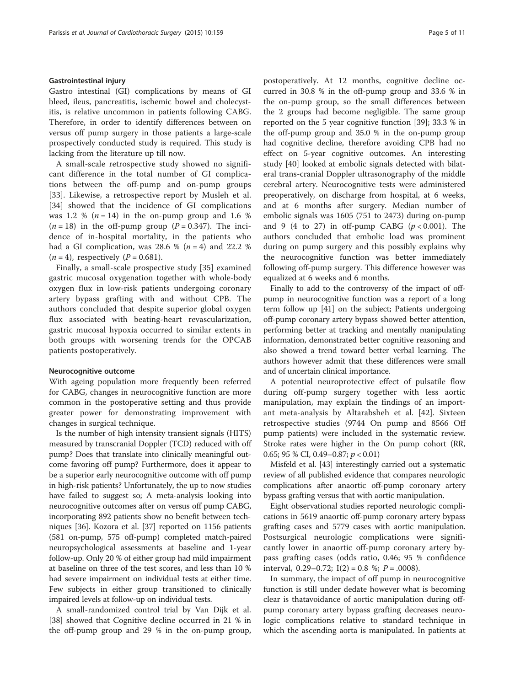#### Gastrointestinal injury

Gastro intestinal (GI) complications by means of GI bleed, ileus, pancreatitis, ischemic bowel and cholecystitis, is relative uncommon in patients following CABG. Therefore, in order to identify differences between on versus off pump surgery in those patients a large-scale prospectively conducted study is required. This study is lacking from the literature up till now.

A small-scale retrospective study showed no significant difference in the total number of GI complications between the off-pump and on-pump groups [[33\]](#page-9-0). Likewise, a retrospective report by Musleh et al. [[34\]](#page-9-0) showed that the incidence of GI complications was 1.2 %  $(n = 14)$  in the on-pump group and 1.6 %  $(n = 18)$  in the off-pump group  $(P = 0.347)$ . The incidence of in-hospital mortality, in the patients who had a GI complication, was 28.6 % ( $n = 4$ ) and 22.2 %  $(n = 4)$ , respectively  $(P = 0.681)$ .

Finally, a small-scale prospective study [[35](#page-9-0)] examined gastric mucosal oxygenation together with whole-body oxygen flux in low-risk patients undergoing coronary artery bypass grafting with and without CPB. The authors concluded that despite superior global oxygen flux associated with beating-heart revascularization, gastric mucosal hypoxia occurred to similar extents in both groups with worsening trends for the OPCAB patients postoperatively.

#### Neurocognitive outcome

With ageing population more frequently been referred for CABG, changes in neurocognitive function are more common in the postoperative setting and thus provide greater power for demonstrating improvement with changes in surgical technique.

Is the number of high intensity transient signals (HITS) measured by transcranial Doppler (TCD) reduced with off pump? Does that translate into clinically meaningful outcome favoring off pump? Furthermore, does it appear to be a superior early neurocognitive outcome with off pump in high-risk patients? Unfortunately, the up to now studies have failed to suggest so; A meta-analysis looking into neurocognitive outcomes after on versus off pump CABG, incorporating 892 patients show no benefit between techniques [[36](#page-9-0)]. Kozora et al. [\[37](#page-9-0)] reported on 1156 patients (581 on-pump, 575 off-pump) completed match-paired neuropsychological assessments at baseline and 1-year follow-up. Only 20 % of either group had mild impairment at baseline on three of the test scores, and less than 10 % had severe impairment on individual tests at either time. Few subjects in either group transitioned to clinically impaired levels at follow-up on individual tests.

A small-randomized control trial by Van Dijk et al. [[38\]](#page-9-0) showed that Cognitive decline occurred in 21 % in the off-pump group and 29 % in the on-pump group, postoperatively. At 12 months, cognitive decline occurred in 30.8 % in the off-pump group and 33.6 % in the on-pump group, so the small differences between the 2 groups had become negligible. The same group reported on the 5 year cognitive function [[39\]](#page-9-0); 33.3 % in the off-pump group and 35.0 % in the on-pump group had cognitive decline, therefore avoiding CPB had no effect on 5-year cognitive outcomes. An interesting study [\[40](#page-9-0)] looked at embolic signals detected with bilateral trans-cranial Doppler ultrasonography of the middle cerebral artery. Neurocognitive tests were administered preoperatively, on discharge from hospital, at 6 weeks, and at 6 months after surgery. Median number of embolic signals was 1605 (751 to 2473) during on-pump and 9 (4 to 27) in off-pump CABG  $(p < 0.001)$ . The authors concluded that embolic load was prominent during on pump surgery and this possibly explains why the neurocognitive function was better immediately following off-pump surgery. This difference however was equalized at 6 weeks and 6 months.

Finally to add to the controversy of the impact of offpump in neurocognitive function was a report of a long term follow up [\[41\]](#page-9-0) on the subject; Patients undergoing off-pump coronary artery bypass showed better attention, performing better at tracking and mentally manipulating information, demonstrated better cognitive reasoning and also showed a trend toward better verbal learning. The authors however admit that these differences were small and of uncertain clinical importance.

A potential neuroprotective effect of pulsatile flow during off-pump surgery together with less aortic manipulation, may explain the findings of an important meta-analysis by Altarabsheh et al. [\[42](#page-9-0)]. Sixteen retrospective studies (9744 On pump and 8566 Off pump patients) were included in the systematic review. Stroke rates were higher in the On pump cohort (RR, 0.65; 95 % CI, 0.49–0.87;  $p < 0.01$ )

Misfeld et al. [\[43](#page-9-0)] interestingly carried out a systematic review of all published evidence that compares neurologic complications after anaortic off-pump coronary artery bypass grafting versus that with aortic manipulation.

Eight observational studies reported neurologic complications in 5619 anaortic off-pump coronary artery bypass grafting cases and 5779 cases with aortic manipulation. Postsurgical neurologic complications were significantly lower in anaortic off-pump coronary artery bypass grafting cases (odds ratio, 0.46; 95 % confidence interval,  $0.29-0.72$ ; I(2) = 0.8 %; P = .0008).

In summary, the impact of off pump in neurocognitive function is still under dedate however what is becoming clear is thatavoidance of aortic manipulation during offpump coronary artery bypass grafting decreases neurologic complications relative to standard technique in which the ascending aorta is manipulated. In patients at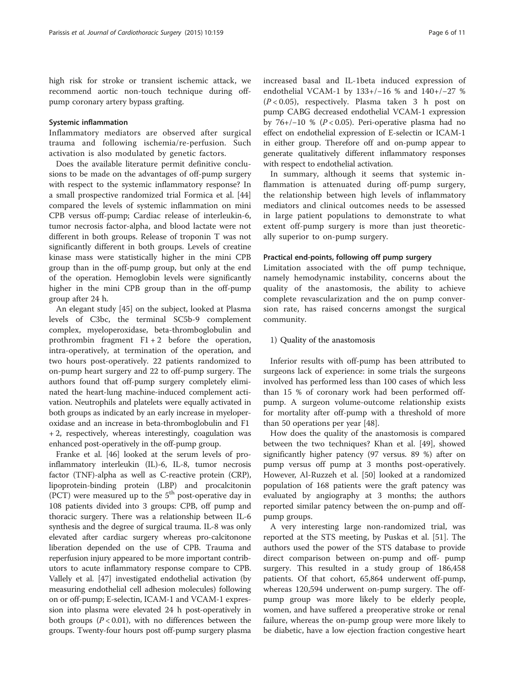high risk for stroke or transient ischemic attack, we recommend aortic non-touch technique during offpump coronary artery bypass grafting.

#### Systemic inflammation

Inflammatory mediators are observed after surgical trauma and following ischemia/re-perfusion. Such activation is also modulated by genetic factors.

Does the available literature permit definitive conclusions to be made on the advantages of off-pump surgery with respect to the systemic inflammatory response? In a small prospective randomized trial Formica et al. [[44](#page-9-0)] compared the levels of systemic inflammation on mini CPB versus off-pump; Cardiac release of interleukin-6, tumor necrosis factor-alpha, and blood lactate were not different in both groups. Release of troponin T was not significantly different in both groups. Levels of creatine kinase mass were statistically higher in the mini CPB group than in the off-pump group, but only at the end of the operation. Hemoglobin levels were significantly higher in the mini CPB group than in the off-pump group after 24 h.

An elegant study [[45](#page-9-0)] on the subject, looked at Plasma levels of C3bc, the terminal SC5b-9 complement complex, myeloperoxidase, beta-thromboglobulin and prothrombin fragment  $F1 + 2$  before the operation, intra-operatively, at termination of the operation, and two hours post-operatively. 22 patients randomized to on-pump heart surgery and 22 to off-pump surgery. The authors found that off-pump surgery completely eliminated the heart-lung machine-induced complement activation. Neutrophils and platelets were equally activated in both groups as indicated by an early increase in myeloperoxidase and an increase in beta-thromboglobulin and F1 + 2, respectively, whereas interestingly, coagulation was enhanced post-operatively in the off-pump group.

Franke et al. [[46](#page-9-0)] looked at the serum levels of proinflammatory interleukin (IL)-6, IL-8, tumor necrosis factor (TNF)-alpha as well as C-reactive protein (CRP), lipoprotein-binding protein (LBP) and procalcitonin (PCT) were measured up to the  $5<sup>th</sup>$  post-operative day in 108 patients divided into 3 groups: CPB, off pump and thoracic surgery. There was a relationship between IL-6 synthesis and the degree of surgical trauma. IL-8 was only elevated after cardiac surgery whereas pro-calcitonone liberation depended on the use of CPB. Trauma and reperfusion injury appeared to be more important contributors to acute inflammatory response compare to CPB. Vallely et al. [\[47](#page-9-0)] investigated endothelial activation (by measuring endothelial cell adhesion molecules) following on or off-pump; E-selectin, ICAM-1 and VCAM-1 expression into plasma were elevated 24 h post-operatively in both groups  $(P < 0.01)$ , with no differences between the groups. Twenty-four hours post off-pump surgery plasma increased basal and IL-1beta induced expression of endothelial VCAM-1 by 133+/−16 % and 140+/−27 %  $(P < 0.05)$ , respectively. Plasma taken 3 h post on pump CABG decreased endothelial VCAM-1 expression by 76+/−10 % (P < 0.05). Peri-operative plasma had no effect on endothelial expression of E-selectin or ICAM-1 in either group. Therefore off and on-pump appear to generate qualitatively different inflammatory responses with respect to endothelial activation.

In summary, although it seems that systemic inflammation is attenuated during off-pump surgery, the relationship between high levels of inflammatory mediators and clinical outcomes needs to be assessed in large patient populations to demonstrate to what extent off-pump surgery is more than just theoretically superior to on-pump surgery.

#### Practical end-points, following off pump surgery

Limitation associated with the off pump technique, namely hemodynamic instability, concerns about the quality of the anastomosis, the ability to achieve complete revascularization and the on pump conversion rate, has raised concerns amongst the surgical community.

#### 1) Quality of the anastomosis

Inferior results with off-pump has been attributed to surgeons lack of experience: in some trials the surgeons involved has performed less than 100 cases of which less than 15 % of coronary work had been performed offpump. A surgeon volume-outcome relationship exists for mortality after off-pump with a threshold of more than 50 operations per year [[48\]](#page-9-0).

How does the quality of the anastomosis is compared between the two techniques? Khan et al. [\[49\]](#page-9-0), showed significantly higher patency (97 versus. 89 %) after on pump versus off pump at 3 months post-operatively. However, Al-Ruzzeh et al. [[50](#page-9-0)] looked at a randomized population of 168 patients were the graft patency was evaluated by angiography at 3 months; the authors reported similar patency between the on-pump and offpump groups.

A very interesting large non-randomized trial, was reported at the STS meeting, by Puskas et al. [\[51](#page-9-0)]. The authors used the power of the STS database to provide direct comparison between on-pump and off- pump surgery. This resulted in a study group of 186,458 patients. Of that cohort, 65,864 underwent off-pump, whereas 120,594 underwent on-pump surgery. The offpump group was more likely to be elderly people, women, and have suffered a preoperative stroke or renal failure, whereas the on-pump group were more likely to be diabetic, have a low ejection fraction congestive heart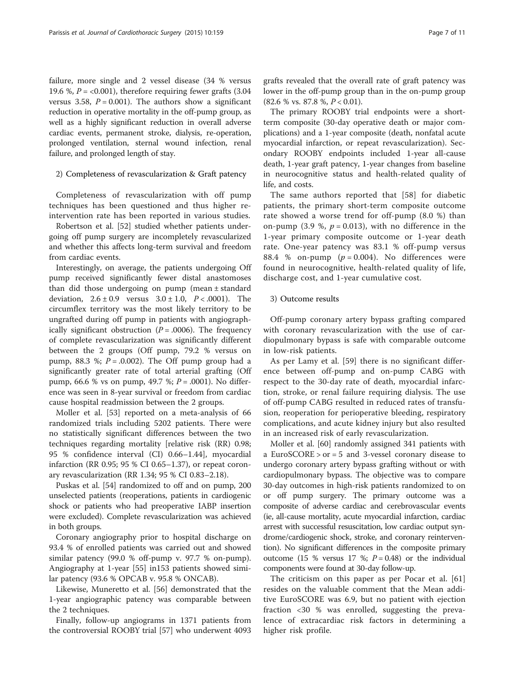failure, more single and 2 vessel disease (34 % versus 19.6 %,  $P = <0.001$ ), therefore requiring fewer grafts (3.04 versus 3.58,  $P = 0.001$ ). The authors show a significant reduction in operative mortality in the off-pump group, as well as a highly significant reduction in overall adverse cardiac events, permanent stroke, dialysis, re-operation, prolonged ventilation, sternal wound infection, renal failure, and prolonged length of stay.

# 2) Completeness of revascularization & Graft patency

Completeness of revascularization with off pump techniques has been questioned and thus higher reintervention rate has been reported in various studies.

Robertson et al. [[52\]](#page-9-0) studied whether patients undergoing off pump surgery are incompletely revascularized and whether this affects long-term survival and freedom from cardiac events.

Interestingly, on average, the patients undergoing Off pump received significantly fewer distal anastomoses than did those undergoing on pump (mean ± standard deviation,  $2.6 \pm 0.9$  versus  $3.0 \pm 1.0$ ,  $P < .0001$ ). The circumflex territory was the most likely territory to be ungrafted during off pump in patients with angiographically significant obstruction ( $P = .0006$ ). The frequency of complete revascularization was significantly different between the 2 groups (Off pump, 79.2 % versus on pump, 88.3 %;  $P = 0.002$ ). The Off pump group had a significantly greater rate of total arterial grafting (Off pump, 66.6 % vs on pump, 49.7 %;  $P = .0001$ ). No difference was seen in 8-year survival or freedom from cardiac cause hospital readmission between the 2 groups.

Moller et al. [\[53](#page-9-0)] reported on a meta-analysis of 66 randomized trials including 5202 patients. There were no statistically significant differences between the two techniques regarding mortality [relative risk (RR) 0.98; 95 % confidence interval (CI) 0.66–1.44], myocardial infarction (RR 0.95; 95 % CI 0.65–1.37), or repeat coronary revascularization (RR 1.34; 95 % CI 0.83–2.18).

Puskas et al. [[54](#page-9-0)] randomized to off and on pump, 200 unselected patients (reoperations, patients in cardiogenic shock or patients who had preoperative IABP insertion were excluded). Complete revascularization was achieved in both groups.

Coronary angiography prior to hospital discharge on 93.4 % of enrolled patients was carried out and showed similar patency (99.0 % off-pump v. 97.7 % on-pump). Angiography at 1-year [\[55](#page-10-0)] in153 patients showed similar patency (93.6 % OPCAB v. 95.8 % ONCAB).

Likewise, Muneretto et al. [[56\]](#page-10-0) demonstrated that the 1-year angiographic patency was comparable between the 2 techniques.

Finally, follow-up angiograms in 1371 patients from the controversial ROOBY trial [\[57](#page-10-0)] who underwent 4093

The primary ROOBY trial endpoints were a shortterm composite (30-day operative death or major complications) and a 1-year composite (death, nonfatal acute myocardial infarction, or repeat revascularization). Secondary ROOBY endpoints included 1-year all-cause death, 1-year graft patency, 1-year changes from baseline in neurocognitive status and health-related quality of life, and costs.

The same authors reported that [[58](#page-10-0)] for diabetic patients, the primary short-term composite outcome rate showed a worse trend for off-pump (8.0 %) than on-pump (3.9 %,  $p = 0.013$ ), with no difference in the 1-year primary composite outcome or 1-year death rate. One-year patency was 83.1 % off-pump versus 88.4 % on-pump  $(p = 0.004)$ . No differences were found in neurocognitive, health-related quality of life, discharge cost, and 1-year cumulative cost.

#### 3) Outcome results

Off-pump coronary artery bypass grafting compared with coronary revascularization with the use of cardiopulmonary bypass is safe with comparable outcome in low-risk patients.

As per Lamy et al. [[59\]](#page-10-0) there is no significant difference between off-pump and on-pump CABG with respect to the 30-day rate of death, myocardial infarction, stroke, or renal failure requiring dialysis. The use of off-pump CABG resulted in reduced rates of transfusion, reoperation for perioperative bleeding, respiratory complications, and acute kidney injury but also resulted in an increased risk of early revascularization.

Moller et al. [\[60](#page-10-0)] randomly assigned 341 patients with a EuroSCORE > or = 5 and 3-vessel coronary disease to undergo coronary artery bypass grafting without or with cardiopulmonary bypass. The objective was to compare 30-day outcomes in high-risk patients randomized to on or off pump surgery. The primary outcome was a composite of adverse cardiac and cerebrovascular events (ie, all-cause mortality, acute myocardial infarction, cardiac arrest with successful resuscitation, low cardiac output syndrome/cardiogenic shock, stroke, and coronary reintervention). No significant differences in the composite primary outcome (15 % versus 17 %;  $P = 0.48$ ) or the individual components were found at 30-day follow-up.

The criticism on this paper as per Pocar et al. [\[61](#page-10-0)] resides on the valuable comment that the Mean additive EuroSCORE was 6.9, but no patient with ejection fraction <30 % was enrolled, suggesting the prevalence of extracardiac risk factors in determining a higher risk profile.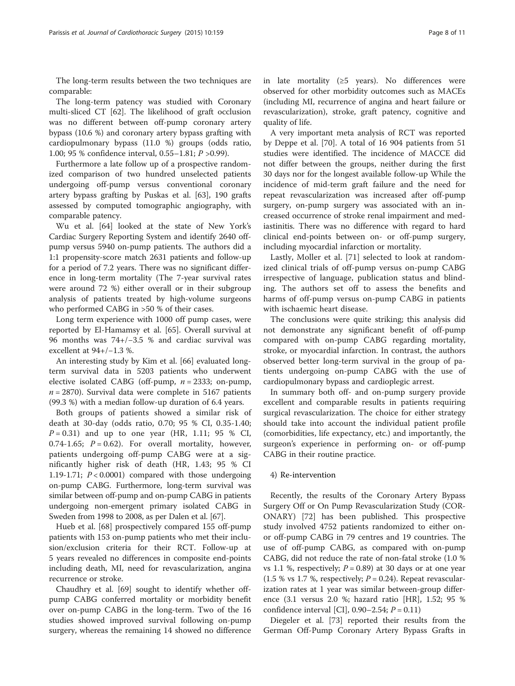The long-term results between the two techniques are comparable:

The long-term patency was studied with Coronary multi-sliced CT [[62](#page-10-0)]. The likelihood of graft occlusion was no different between off-pump coronary artery bypass (10.6 %) and coronary artery bypass grafting with cardiopulmonary bypass (11.0 %) groups (odds ratio, 1.00; 95 % confidence interval, 0.55–1.81; P >0.99).

Furthermore a late follow up of a prospective randomized comparison of two hundred unselected patients undergoing off-pump versus conventional coronary artery bypass grafting by Puskas et al. [[63](#page-10-0)], 190 grafts assessed by computed tomographic angiography, with comparable patency.

Wu et al. [[64](#page-10-0)] looked at the state of New York's Cardiac Surgery Reporting System and identify 2640 offpump versus 5940 on-pump patients. The authors did a 1:1 propensity-score match 2631 patients and follow-up for a period of 7.2 years. There was no significant difference in long-term mortality (The 7-year survival rates were around 72 %) either overall or in their subgroup analysis of patients treated by high-volume surgeons who performed CABG in >50 % of their cases.

Long term experience with 1000 off pump cases, were reported by El-Hamamsy et al. [\[65\]](#page-10-0). Overall survival at 96 months was 74+/−3.5 % and cardiac survival was excellent at 94+/−1.3 %.

An interesting study by Kim et al. [\[66](#page-10-0)] evaluated longterm survival data in 5203 patients who underwent elective isolated CABG (off-pump,  $n = 2333$ ; on-pump,  $n = 2870$ ). Survival data were complete in 5167 patients (99.3 %) with a median follow-up duration of 6.4 years.

Both groups of patients showed a similar risk of death at 30-day (odds ratio, 0.70; 95 % CI, 0.35-1.40;  $P = 0.31$ ) and up to one year (HR, 1.11; 95 % CI, 0.74-1.65;  $P = 0.62$ ). For overall mortality, however, patients undergoing off-pump CABG were at a significantly higher risk of death (HR, 1.43; 95 % CI 1.19-1.71;  $P < 0.0001$ ) compared with those undergoing on-pump CABG. Furthermore, long-term survival was similar between off-pump and on-pump CABG in patients undergoing non-emergent primary isolated CABG in Sweden from 1998 to 2008, as per Dalen et al. [\[67\]](#page-10-0).

Hueb et al. [[68\]](#page-10-0) prospectively compared 155 off-pump patients with 153 on-pump patients who met their inclusion/exclusion criteria for their RCT. Follow-up at 5 years revealed no differences in composite end-points including death, MI, need for revascularization, angina recurrence or stroke.

Chaudhry et al. [\[69](#page-10-0)] sought to identify whether offpump CABG conferred mortality or morbidity benefit over on-pump CABG in the long-term. Two of the 16 studies showed improved survival following on-pump surgery, whereas the remaining 14 showed no difference in late mortality ( $\geq$ 5 years). No differences were observed for other morbidity outcomes such as MACEs (including MI, recurrence of angina and heart failure or revascularization), stroke, graft patency, cognitive and quality of life.

A very important meta analysis of RCT was reported by Deppe et al. [[70\]](#page-10-0). A total of 16 904 patients from 51 studies were identified. The incidence of MACCE did not differ between the groups, neither during the first 30 days nor for the longest available follow-up While the incidence of mid-term graft failure and the need for repeat revascularization was increased after off-pump surgery, on-pump surgery was associated with an increased occurrence of stroke renal impairment and mediastinitis. There was no difference with regard to hard clinical end-points between on- or off-pump surgery, including myocardial infarction or mortality.

Lastly, Moller et al. [[71](#page-10-0)] selected to look at randomized clinical trials of off-pump versus on-pump CABG irrespective of language, publication status and blinding. The authors set off to assess the benefits and harms of off-pump versus on-pump CABG in patients with ischaemic heart disease.

The conclusions were quite striking; this analysis did not demonstrate any significant benefit of off-pump compared with on-pump CABG regarding mortality, stroke, or myocardial infarction. In contrast, the authors observed better long-term survival in the group of patients undergoing on-pump CABG with the use of cardiopulmonary bypass and cardioplegic arrest.

In summary both off- and on-pump surgery provide excellent and comparable results in patients requiring surgical revascularization. The choice for either strategy should take into account the individual patient profile (comorbidities, life expectancy, etc.) and importantly, the surgeon's experience in performing on- or off-pump CABG in their routine practice.

#### 4) Re-intervention

Recently, the results of the Coronary Artery Bypass Surgery Off or On Pump Revascularization Study (COR-ONARY) [\[72](#page-10-0)] has been published. This prospective study involved 4752 patients randomized to either onor off-pump CABG in 79 centres and 19 countries. The use of off-pump CABG, as compared with on-pump CABG, did not reduce the rate of non-fatal stroke (1.0 % vs 1.1 %, respectively;  $P = 0.89$  at 30 days or at one year (1.5 % vs 1.7 %, respectively;  $P = 0.24$ ). Repeat revascularization rates at 1 year was similar between-group difference (3.1 versus 2.0 %; hazard ratio [HR], 1.52; 95 % confidence interval [CI],  $0.90-2.54$ ;  $P = 0.11$ )

Diegeler et al. [[73](#page-10-0)] reported their results from the German Off-Pump Coronary Artery Bypass Grafts in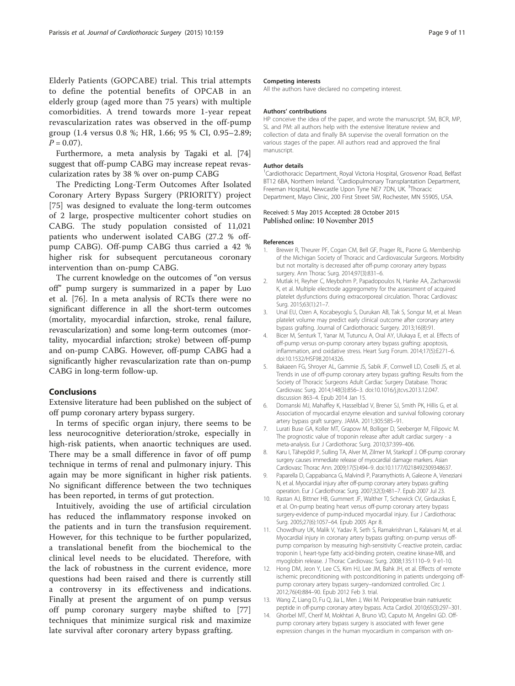<span id="page-8-0"></span>Elderly Patients (GOPCABE) trial. This trial attempts to define the potential benefits of OPCAB in an elderly group (aged more than 75 years) with multiple comorbidities. A trend towards more 1-year repeat revascularization rates was observed in the off-pump group (1.4 versus 0.8 %; HR, 1.66; 95 % CI, 0.95–2.89;  $P = 0.07$ ).

Furthermore, a meta analysis by Tagaki et al. [[74](#page-10-0)] suggest that off-pump CABG may increase repeat revascularization rates by 38 % over on-pump CABG

The Predicting Long-Term Outcomes After Isolated Coronary Artery Bypass Surgery (PRIORITY) project [[75\]](#page-10-0) was designed to evaluate the long-term outcomes of 2 large, prospective multicenter cohort studies on CABG. The study population consisted of 11,021 patients who underwent isolated CABG (27.2 % offpump CABG). Off-pump CABG thus carried a 42 % higher risk for subsequent percutaneous coronary intervention than on-pump CABG.

The current knowledge on the outcomes of "on versus off" pump surgery is summarized in a paper by Luo et al. [\[76](#page-10-0)]. In a meta analysis of RCTs there were no significant difference in all the short-term outcomes (mortality, myocardial infarction, stroke, renal failure, revascularization) and some long-term outcomes (mortality, myocardial infarction; stroke) between off-pump and on-pump CABG. However, off-pump CABG had a significantly higher revascularization rate than on-pump CABG in long-term follow-up.

#### Conclusions

Extensive literature had been published on the subject of off pump coronary artery bypass surgery.

In terms of specific organ injury, there seems to be less neurocognitive deterioration/stroke, especially in high-risk patients, when anaortic techniques are used. There may be a small difference in favor of off pump technique in terms of renal and pulmonary injury. This again may be more significant in higher risk patients. No significant difference between the two techniques has been reported, in terms of gut protection.

Intuitively, avoiding the use of artificial circulation has reduced the inflammatory response invoked on the patients and in turn the transfusion requirement. However, for this technique to be further popularized, a translational benefit from the biochemical to the clinical level needs to be elucidated. Therefore, with the lack of robustness in the current evidence, more questions had been raised and there is currently still a controversy in its effectiveness and indications. Finally at present the argument of on pump versus off pump coronary surgery maybe shifted to [\[77](#page-10-0)] techniques that minimize surgical risk and maximize late survival after coronary artery bypass grafting.

#### Competing interests

All the authors have declared no competing interest.

#### Authors' contributions

HP conceive the idea of the paper, and wrote the manuscript. SM, BCR, MP, SL and PM: all authors help with the extensive literature review and collection of data and finally BA supervise the overall formation on the various stages of the paper. All authors read and approved the final manuscript.

#### Author details

<sup>1</sup>Cardiothoracic Department, Royal Victoria Hospital, Grosvenor Road, Belfast BT12 6BA, Northern Ireland. <sup>2</sup>Cardiopulmonary Transplantation Department, Freeman Hospital, Newcastle Upon Tyne NE7 7DN, UK. <sup>3</sup>Thoracic Department, Mayo Clinic, 200 First Street SW, Rochester, MN 55905, USA.

#### Received: 5 May 2015 Accepted: 28 October 2015 Published online: 10 November 2015

#### References

- 1. Brewer R, Theurer PF, Cogan CM, Bell GF, Prager RL, Paone G. Membership of the Michigan Society of Thoracic and Cardiovascular Surgeons. Morbidity but not mortality is decreased after off-pump coronary artery bypass surgery. Ann Thorac Surg. 2014;97(3):831–6.
- 2. Mutlak H, Reyher C, Meybohm P, Papadopoulos N, Hanke AA, Zacharowski K, et al. Multiple electrode aggregometry for the assessment of acquired platelet dysfunctions during extracorporeal circulation. Thorac Cardiovasc Surg. 2015;63(1):21–7.
- 3. Unal EU, Ozen A, Kocabeyoglu S, Durukan AB, Tak S, Songur M, et al. Mean platelet volume may predict early clinical outcome after coronary artery bypass grafting. Journal of Cardiothoracic Surgery. 2013;16(8):91.
- Bicer M, Senturk T, Yanar M, Tutuncu A, Oral AY, Ulukaya E, et al. Effects of off-pump versus on-pump coronary artery bypass grafting: apoptosis, inflammation, and oxidative stress. Heart Surg Forum. 2014;17(5):E271–6. doi[:10.1532/HSF98.2014326.](http://dx.doi.org/10.1532/HSF98.2014326)
- 5. Bakaeen FG, Shroyer AL, Gammie JS, Sabik JF, Cornwell LD, Coselli JS, et al. Trends in use of off-pump coronary artery bypass grafting: Results from the Society of Thoracic Surgeons Adult Cardiac Surgery Database. Thorac Cardiovasc Surg. 2014;148(3):856–3. doi:[10.1016/j.jtcvs.2013.12.047](http://dx.doi.org/10.1016/j.jtcvs.2013.12.047). discussion 863–4. Epub 2014 Jan 15.
- 6. Domanski MJ, Mahaffey K, Hasselblad V, Brener SJ, Smith PK, Hillis G, et al. Association of myocardial enzyme elevation and survival following coronary artery bypass graft surgery. JAMA. 2011;305:585–91.
- 7. Lurati Buse GA, Koller MT, Grapow M, Bolliger D, Seeberger M, Filipovic M. The prognostic value of troponin release after adult cardiac surgery - a meta-analysis. Eur J Cardiothorac Surg. 2010;37:399–406.
- 8. Karu I, Tähepõld P, Sulling TA, Alver M, Zilmer M, Starkopf J. Off-pump coronary surgery causes immediate release of myocardial damage markers. Asian Cardiovasc Thorac Ann. 2009;17(5):494–9. doi[:10.1177/0218492309348637.](http://dx.doi.org/10.1177/0218492309348637)
- 9. Paparella D, Cappabianca G, Malvindi P, Paramythiotis A, Galeone A, Veneziani N, et al. Myocardial injury after off-pump coronary artery bypass grafting operation. Eur J Cardiothorac Surg. 2007;32(3):481–7. Epub 2007 Jul 23.
- 10. Rastan AJ, Bittner HB, Gummert JF, Walther T, Schewick CV, Girdauskas E, et al. On-pump beating heart versus off-pump coronary artery bypass surgery-evidence of pump-induced myocardial injury. Eur J Cardiothorac Surg. 2005;27(6):1057–64. Epub 2005 Apr 8.
- 11. Chowdhury UK, Malik V, Yadav R, Seth S, Ramakrishnan L, Kalaivani M, et al. Myocardial injury in coronary artery bypass grafting: on-pump versus offpump comparison by measuring high-sensitivity C-reactive protein, cardiac troponin I, heart-type fatty acid-binding protein, creatine kinase-MB, and myoglobin release. J Thorac Cardiovasc Surg. 2008;135:1110–9. 9 e1-10.
- 12. Hong DM, Jeon Y, Lee CS, Kim HJ, Lee JM, Bahk JH, et al. Effects of remote ischemic preconditioning with postconditioning in patients undergoing offpump coronary artery bypass surgery–randomized controlled. Circ J. 2012;76(4):884–90. Epub 2012 Feb 3. trial.
- 13. Wang Z, Liang D, Fu Q, Jia L, Men J, Wei M. Perioperative brain natriuretic peptide in off-pump coronary artery bypass. Acta Cardiol. 2010;65(3):297–301.
- 14. Ghorbel MT, Cherif M, Mokhtari A, Bruno VD, Caputo M, Angelini GD. Offpump coronary artery bypass surgery is associated with fewer gene expression changes in the human myocardium in comparison with on-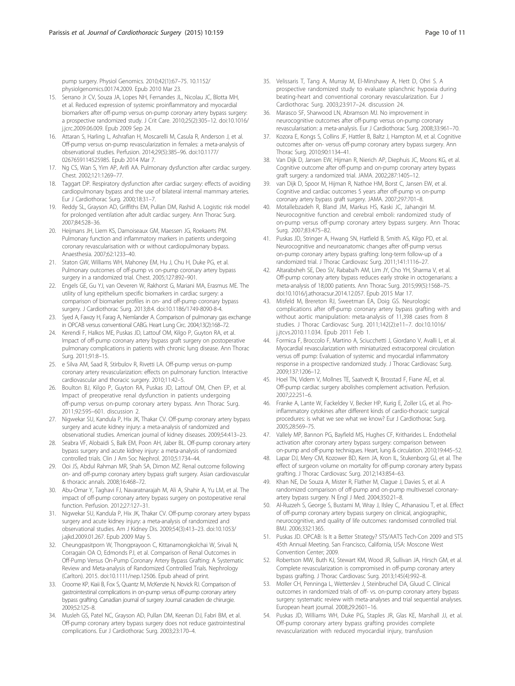<span id="page-9-0"></span>pump surgery. Physiol Genomics. 2010;42(1):67–75. 10.1152/ physiolgenomics.00174.2009. Epub 2010 Mar 23.

- 15. Serrano Jr CV, Souza JA, Lopes NH, Fernandes JL, Nicolau JC, Blotta MH, et al. Reduced expression of systemic proinflammatory and myocardial biomarkers after off-pump versus on-pump coronary artery bypass surgery: a prospective randomized study. J Crit Care. 2010;25(2):305–12. doi:[10.1016/](http://dx.doi.org/10.1016/j.jcrc.2009.06.009) [j.jcrc.2009.06.009](http://dx.doi.org/10.1016/j.jcrc.2009.06.009). Epub 2009 Sep 24.
- 16. Attaran S, Harling L, Ashrafian H, Moscarelli M, Casula R, Anderson J, et al. Off-pump versus on-pump revascularization in females: a meta-analysis of observational studies. Perfusion. 2014;29(5):385–96. doi:[10.1177/](http://dx.doi.org/10.1177/0267659114525985) [0267659114525985](http://dx.doi.org/10.1177/0267659114525985). Epub 2014 Mar 7.
- 17. Ng CS, Wan S, Yim AP, Arifi AA. Pulmonary dysfunction after cardiac surgery. Chest. 2002;121:1269–77.
- 18. Taggart DP. Respiratory dysfunction after cardiac surgery: effects of avoiding cardiopulmonary bypass and the use of bilateral internal mammary arteries. Eur J Cardiothorac Surg. 2000;18:31–7.
- 19. Reddy SL, Grayson AD, Griffiths EM, Pullan DM, Rashid A. Logistic risk model for prolonged ventilation after adult cardiac surgery. Ann Thorac Surg. 2007;84:528–36.
- 20. Heijmans JH, Liem KS, Damoiseaux GM, Maessen JG, Roekaerts PM. Pulmonary function and inflammatory markers in patients undergoing coronary revascularisation with or without cardiopulmonary bypass. Anaesthesia. 2007;62:1233–40.
- 21. Staton GW, Williams WH, Mahoney EM, Hu J, Chu H, Duke PG, et al. Pulmonary outcomes of off-pump vs on-pump coronary artery bypass surgery in a randomized trial. Chest. 2005;127:892–901.
- 22. Engels GE, Gu YJ, van Oeveren W, Rakhorst G, Mariani MA, Erasmus ME. The utility of lung epithelium specific biomarkers in cardiac surgery: a comparison of biomarker profiles in on- and off-pump coronary bypass surgery. J Cardiothorac Surg. 2013;8:4. doi:[10.1186/1749-8090-8-4](http://dx.doi.org/10.1186/1749-8090-8-4).
- 23. Syed A, Fawzy H, Farag A, Nemlander A. Comparison of pulmonary gas exchange in OPCAB versus conventional CABG. Heart Lung Circ. 2004;13(2):168–72.
- 24. Kerendi F, Halkos ME, Puskas JD, Lattouf OM, Kilgo P, Guyton RA, et al. Impact of off-pump coronary artery bypass graft surgery on postoperative pulmonary complications in patients with chronic lung disease. Ann Thorac Surg. 2011;91:8–15.
- 25. e Silva AM, Saad R, Stirbulov R, Rivetti LA. Off-pump versus on-pump coronary artery revascularization: effects on pulmonary function. Interactive cardiovascular and thoracic surgery. 2010;11:42–5.
- 26. Boulton BJ, Kilgo P, Guyton RA, Puskas JD, Lattouf OM, Chen EP, et al. Impact of preoperative renal dysfunction in patients undergoing off-pump versus on-pump coronary artery bypass. Ann Thorac Surg. 2011;92:595–601. discussion 2.
- 27. Nigwekar SU, Kandula P, Hix JK, Thakar CV. Off-pump coronary artery bypass surgery and acute kidney injury: a meta-analysis of randomized and observational studies. American journal of kidney diseases. 2009;54:413–23.
- 28. Seabra VF, Alobaidi S, Balk EM, Poon AH, Jaber BL. Off-pump coronary artery bypass surgery and acute kidney injury: a meta-analysis of randomized controlled trials. Clin J Am Soc Nephrol. 2010;5:1734–44.
- 29. Ooi JS, Abdul Rahman MR, Shah SA, Dimon MZ. Renal outcome following on- and off-pump coronary artery bypass graft surgery. Asian cardiovascular & thoracic annals. 2008;16:468–72.
- 30. Abu-Omar Y, Taghavi FJ, Navaratnarajah M, Ali A, Shahir A, Yu LM, et al. The impact of off-pump coronary artery bypass surgery on postoperative renal function. Perfusion. 2012;27:127–31.
- 31. Nigwekar SU, Kandula P, Hix JK, Thakar CV. Off-pump coronary artery bypass surgery and acute kidney injury: a meta-analysis of randomized and observational studies. Am J Kidney Dis. 2009;54(3):413–23. doi[:10.1053/](http://dx.doi.org/10.1053/j.ajkd.2009.01.267) [j.ajkd.2009.01.267](http://dx.doi.org/10.1053/j.ajkd.2009.01.267). Epub 2009 May 5.
- 32. Cheungpasitporn W, Thongprayoon C, Kittanamongkolchai W, Srivali N, Corragain OA O, Edmonds PJ, et al. Comparison of Renal Outcomes in Off-Pump Versus On-Pump Coronary Artery Bypass Grafting: A Systematic Review and Meta-analysis of Randomized Controlled Trials. Nephrology (Carlton). 2015. doi[:10.1111/nep.12506.](http://dx.doi.org/10.1111/nep.12506) Epub ahead of print.
- 33. Croome KP, Kiaii B, Fox S, Quantz M, McKenzie N, Novick RJ. Comparison of gastrointestinal complications in on-pump versus off-pump coronary artery bypass grafting. Canadian journal of surgery Journal canadien de chirurgie. 2009;52:125–8.
- 34. Musleh GS, Patel NC, Grayson AD, Pullan DM, Keenan DJ, Fabri BM, et al. Off-pump coronary artery bypass surgery does not reduce gastrointestinal complications. Eur J Cardiothorac Surg. 2003;23:170–4.
- 35. Velissaris T, Tang A, Murray M, El-Minshawy A, Hett D, Ohri S. A prospective randomized study to evaluate splanchnic hypoxia during beating-heart and conventional coronary revascularization. Eur J Cardiothorac Surg. 2003;23:917–24. discussion 24.
- 36. Marasco SF, Sharwood LN, Abramson MJ. No improvement in neurocognitive outcomes after off-pump versus on-pump coronary revascularisation: a meta-analysis. Eur J Cardiothorac Surg. 2008;33:961–70.
- 37. Kozora E, Kongs S, Collins JF, Hattler B, Baltz J, Hampton M, et al. Cognitive outcomes after on- versus off-pump coronary artery bypass surgery. Ann Thorac Surg. 2010;90:1134–41.
- 38. Van Dijk D, Jansen EW, Hijman R, Nierich AP, Diephuis JC, Moons KG, et al. Cognitive outcome after off-pump and on-pump coronary artery bypass graft surgery: a randomized trial. JAMA. 2002;287:1405–12.
- 39. van Dijk D, Spoor M, Hijman R, Nathoe HM, Borst C, Jansen EW, et al. Cognitive and cardiac outcomes 5 years after off-pump vs on-pump coronary artery bypass graft surgery. JAMA. 2007;297:701–8.
- 40. Motallebzadeh R, Bland JM, Markus HS, Kaski JC, Jahangiri M. Neurocognitive function and cerebral emboli: randomized study of on-pump versus off-pump coronary artery bypass surgery. Ann Thorac Surg. 2007;83:475–82.
- 41. Puskas JD, Stringer A, Hwang SN, Hatfield B, Smith AS, Kilgo PD, et al. Neurocognitive and neuroanatomic changes after off-pump versus on-pump coronary artery bypass grafting: long-term follow-up of a randomized trial. J Thorac Cardiovasc Surg. 2011;141:1116–27.
- 42. Altarabsheh SE, Deo SV, Rababa'h AM, Lim JY, Cho YH, Sharma V, et al. Off-pump coronary artery bypass reduces early stroke in octogenarians: a meta-analysis of 18,000 patients. Ann Thorac Surg. 2015;99(5):1568–75. doi[:10.1016/j.athoracsur.2014.12.057.](http://dx.doi.org/10.1016/j.athoracsur.2014.12.057) Epub 2015 Mar 17.
- 43. Misfeld M, Brereton RJ, Sweetman EA, Doig GS. Neurologic complications after off-pump coronary artery bypass grafting with and without aortic manipulation: meta-analysis of 11,398 cases from 8 studies. J Thorac Cardiovasc Surg. 2011;142(2):e11–7. doi:[10.1016/](http://dx.doi.org/10.1016/j.jtcvs.2010.11.034) [j.jtcvs.2010.11.034.](http://dx.doi.org/10.1016/j.jtcvs.2010.11.034) Epub 2011 Feb 1.
- 44. Formica F, Broccolo F, Martino A, Sciucchetti J, Giordano V, Avalli L, et al. Myocardial revascularization with miniaturized extracorporeal circulation versus off pump: Evaluation of systemic and myocardial inflammatory response in a prospective randomized study. J Thorac Cardiovasc Surg. 2009;137:1206–12.
- 45. Hoel TN, Videm V, Mollnes TE, Saatvedt K, Brosstad F, Fiane AE, et al. Off-pump cardiac surgery abolishes complement activation. Perfusion. 2007;22:251–6.
- 46. Franke A, Lante W, Fackeldey V, Becker HP, Kurig E, Zoller LG, et al. Proinflammatory cytokines after different kinds of cardio-thoracic surgical procedures: is what we see what we know? Eur J Cardiothorac Surg. 2005;28:569–75.
- 47. Vallely MP, Bannon PG, Bayfield MS, Hughes CF, Kritharides L. Endothelial activation after coronary artery bypass surgery: comparison between on-pump and off-pump techniques. Heart, lung & circulation. 2010;19:445–52.
- 48. Lapar DJ, Mery CM, Kozower BD, Kern JA, Kron IL, Stukenborg GJ, et al. The effect of surgeon volume on mortality for off-pump coronary artery bypass grafting. J Thorac Cardiovasc Surg. 2012;143:854–63.
- 49. Khan NE, De Souza A, Mister R, Flather M, Clague J, Davies S, et al. A randomized comparison of off-pump and on-pump multivessel coronaryartery bypass surgery. N Engl J Med. 2004;350:21–8.
- 50. Al-Ruzzeh S, George S, Bustami M, Wray J, Ilsley C, Athanasiou T, et al. Effect of off-pump coronary artery bypass surgery on clinical, angiographic, neurocognitive, and quality of life outcomes: randomised controlled trial. BMJ. 2006;332:1365.
- 51. Puskas JD. OPCAB: Is It a Better Strategy? STS/AATS Tech-Con 2009 and STS 45th Annual Meeting. San Francisco, California, USA: Moscone West Convention Center; 2009.
- 52. Robertson MW, Buth KJ, Stewart KM, Wood JR, Sullivan JA, Hirsch GM, et al. Complete revascularization is compromised in off-pump coronary artery bypass grafting. J Thorac Cardiovasc Surg. 2013;145(4):992–8.
- 53. Moller CH, Penninga L, Wetterslev J, Steinbruchel DA, Gluud C. Clinical outcomes in randomized trials of off- vs. on-pump coronary artery bypass surgery: systematic review with meta-analyses and trial sequential analyses. European heart journal. 2008;29:2601–16.
- 54. Puskas JD, Williams WH, Duke PG, Staples JR, Glas KE, Marshall JJ, et al. Off-pump coronary artery bypass grafting provides complete revascularization with reduced myocardial injury, transfusion